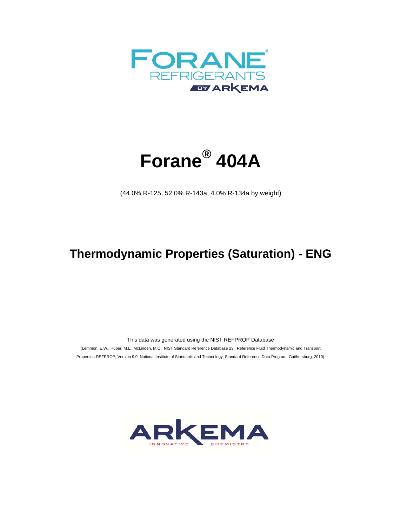



(44.0% R-125, 52.0% R-143a, 4.0% R-134a by weight)

## **Thermodynamic Properties (Saturation) - ENG**

This data was generated using the NIST REFPROP Database

 (Lemmon, E.W., Huber, M.L., McLinden, M.O. NIST Standard Reference Database 23: Reference Fluid Thermodynamic and Transport Properties-REFPROP, Version 9.0, National Institute of Standards and Technology, Standard Reference Data Program, Gaithersburg, 2010)

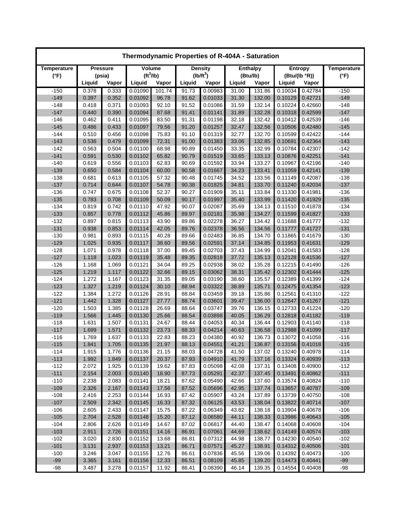| Thermodynamic Properties of R-404A - Saturation |                 |        |                       |        |        |                |        |                 |         |                |                    |  |
|-------------------------------------------------|-----------------|--------|-----------------------|--------|--------|----------------|--------|-----------------|---------|----------------|--------------------|--|
| Temperature                                     | <b>Pressure</b> |        | Volume                |        |        | <b>Density</b> |        | <b>Enthalpy</b> |         | <b>Entropy</b> | <b>Temperature</b> |  |
| $(^{\circ}F)$                                   |                 | (psia) | (tf <sup>3</sup> /lb) |        |        | $(lb/ft^3)$    |        | (Btu/lb)        |         | (Btu/(lb °R))  | $(^{\circ}F)$      |  |
|                                                 | Liquid          | Vapor  | Liquid                | Vapor  | Liquid | Vapor          | Liquid | Vapor           | Liquid  | Vapor          |                    |  |
| $-150$                                          | 0.378           | 0.333  | 0.01090               | 101.74 | 91.73  | 0.00983        | 31.00  | 131.86          | 0.10034 | 0.42784        | $-150$             |  |
| $-149$                                          | 0.397           | 0.352  | 0.01092               | 96.78  | 91.62  | 0.01033        | 31.30  | 132.00          | 0.10129 | 0.42721        | $-149$             |  |
| $-148$                                          | 0.418           | 0.371  | 0.01093               | 92.10  | 91.52  | 0.01086        | 31.59  | 132.14          | 0.10224 | 0.42660        | $-148$             |  |
| $-147$                                          | 0.440           | 0.390  | 0.01094               | 87.68  | 91.41  | 0.01141        | 31.89  | 132.28          | 0.10318 | 0.42599        | $-147$             |  |
| $-146$                                          | 0.462           | 0.411  | 0.01095               | 83.50  | 91.31  | 0.01198        | 32.18  | 132.42          | 0.10412 | 0.42539        | $-146$             |  |
| $-145$                                          | 0.486           | 0.433  | 0.01097               | 79.56  | 91.20  | 0.01257        | 32.47  | 132.56          | 0.10506 | 0.42480        | $-145$             |  |
| $-144$                                          | 0.510           | 0.456  | 0.01098               | 75.83  | 91.10  | 0.01319        | 32.77  | 132.70          | 0.10599 | 0.42422        | $-144$             |  |
| $-143$                                          | 0.536           | 0.479  | 0.01099               | 72.31  | 91.00  | 0.01383        | 33.06  | 132.85          | 0.10691 | 0.42364        | $-143$             |  |
| $-142$                                          | 0.563           | 0.504  | 0.01100               | 68.98  | 90.89  | 0.01450        | 33.35  | 132.99          | 0.10784 | 0.42307        | $-142$             |  |
| $-141$                                          | 0.591           | 0.530  | 0.01102               | 65.82  | 90.79  | 0.01519        | 33.65  | 133.13          | 0.10876 | 0.42251        | $-141$             |  |
| $-140$                                          | 0.619           | 0.556  | 0.01103               | 62.83  | 90.69  | 0.01592        | 33.94  | 133.27          | 0.10967 | 0.42196        | $-140$             |  |
| $-139$                                          | 0.650           | 0.584  | 0.01104               | 60.00  | 90.58  | 0.01667        | 34.23  | 133.41          | 0.11059 | 0.42141        | $-139$             |  |
| $-138$                                          | 0.681           | 0.613  | 0.01105               | 57.32  | 90.48  | 0.01745        | 34.52  | 133.56          | 0.11149 | 0.42087        | $-138$             |  |
| $-137$                                          | 0.714           | 0.644  | 0.01107               | 54.78  | 90.38  | 0.01825        | 34.81  | 133.70          | 0.11240 | 0.42034        | $-137$             |  |
| $-136$                                          | 0.747           | 0.675  | 0.01108               | 52.37  | 90.27  | 0.01909        | 35.11  | 133.84          | 0.11330 | 0.41981        | $-136$             |  |
| $-135$                                          | 0.783           | 0.708  | 0.01109               | 50.09  | 90.17  | 0.01997        | 35.40  | 133.99          | 0.11420 | 0.41929        | $-135$             |  |
| $-134$                                          | 0.819           | 0.742  | 0.01110               | 47.92  | 90.07  | 0.02087        | 35.69  | 134.13          | 0.11510 | 0.41878        | $-134$             |  |
| $-133$                                          | 0.857           | 0.778  | 0.01112               | 45.86  | 89.97  | 0.02181        | 35.98  | 134.27          | 0.11599 | 0.41827        | $-133$             |  |
| $-132$                                          | 0.897           | 0.815  | 0.01113               | 43.90  | 89.86  | 0.02278        | 36.27  | 134.42          | 0.11688 | 0.41777        | $-132$             |  |
| $-131$                                          | 0.938           | 0.853  | 0.01114               | 42.05  | 89.76  | 0.02378        | 36.56  | 134.56          | 0.11777 | 0.41727        | $-131$             |  |
| $-130$                                          | 0.981           | 0.893  | 0.01115               | 40.28  | 89.66  | 0.02483        | 36.85  | 134.70          | 0.11865 | 0.41679        | $-130$             |  |
| $-129$                                          | 1.025           | 0.935  | 0.01117               | 38.60  | 89.56  | 0.02591        | 37.14  | 134.85          | 0.11953 | 0.41631        | $-129$             |  |
| $-128$                                          | 1.071           | 0.978  | 0.01118               | 37.00  | 89.45  | 0.02703        | 37.43  | 134.99          | 0.12041 | 0.41583        | $-128$             |  |
| $-127$                                          | 1.118           | 1.023  | 0.01119               | 35.48  | 89.35  | 0.02818        | 37.72  | 135.13          | 0.12128 | 0.41536        | $-127$             |  |
| $-126$                                          | 1.168           | 1.069  | 0.01121               | 34.04  | 89.25  | 0.02938        | 38.02  | 135.28          | 0.12215 | 0.41490        | $-126$             |  |
| $-125$                                          | 1.219           | 1.117  | 0.01122               | 32.66  | 89.15  | 0.03062        | 38.31  | 135.42          | 0.12302 | 0.41444        | $-125$             |  |
| $-124$                                          | 1.272           | 1.167  | 0.01123               | 31.35  | 89.05  | 0.03190        | 38.60  | 135.57          | 0.12389 | 0.41399        | $-124$             |  |
| $-123$                                          | 1.327           | 1.219  | 0.01124               | 30.10  | 88.94  | 0.03322        | 38.89  | 135.71          | 0.12475 | 0.41354        | $-123$             |  |
| $-122$                                          | 1.384           | 1.272  | 0.01126               | 28.91  | 88.84  | 0.03459        | 39.18  | 135.86          | 0.12561 | 0.41310        | $-122$             |  |
| $-121$                                          | 1.442           | 1.328  | 0.01127               | 27.77  | 88.74  | 0.03601        | 39.47  | 136.00          | 0.12647 | 0.41267        | $-121$             |  |
| $-120$                                          | 1.503           | 1.385  | 0.01128               | 26.69  | 88.64  | 0.03747        | 39.76  | 136.15          | 0.12733 | 0.41224        | $-120$             |  |
| $-119$                                          | 1.566           | 1.445  | 0.01130               | 25.66  | 88.54  | 0.03898        | 40.05  | 136.29          | 0.12818 | 0.41182        | $-119$             |  |
| $-118$                                          | 1.631           | 1.507  | 0.01131               | 24.67  | 88.44  | 0.04053        | 40.34  | 136.44          | 0.12903 | 0.41140        | $-118$             |  |
| $-117$                                          | 1.699           | 1.571  | 0.01132               | 23.73  | 88.33  | 0.04214        | 40.63  | 136.58          | 0.12988 | 0.41099        | $-117$             |  |
| $-116$                                          | 1.769           | 1.637  | 0.01133               | 22.83  | 88.23  | 0.04380        | 40.92  | 136.73          | 0.13072 | 0.41058        | $-116$             |  |
| $-115$                                          | 1.841           | 1.705  | 0.01135               | 21.97  | 88.13  | 0.04551        | 41.21  | 136.87          | 0.13156 | 0.41018        | $-115$             |  |
| $-114$                                          | 1.915           | 1.776  | 0.01136               | 21.15  | 88.03  | 0.04728        | 41.50  | 137.02          | 0.13240 | 0.40978        | $-114$             |  |
| $-113$                                          | 1.992           | 1.849  | 0.01137               | 20.37  | 87.93  | 0.04910        | 41.79  | 137.16          | 0.13324 | 0.40939        | $-113$             |  |
| $-112$                                          | 2.072           | 1.925  | 0.01139               | 19.62  | 87.83  | 0.05098        | 42.08  | 137.31          | 0.13408 | 0.40900        | $-112$             |  |
| $-111$                                          | 2.154           | 2.003  | 0.01140               | 18.90  | 87.73  | 0.05291        | 42.37  | 137.45          | 0.13491 | 0.40862        | $-111$             |  |
| $-110$                                          | 2.238           | 2.083  | 0.01141               | 18.21  | 87.62  | 0.05490        | 42.66  | 137.60          | 0.13574 | 0.40824        | $-110$             |  |
| $-109$                                          | 2.326           | 2.167  | 0.01143               | 17.56  | 87.52  | 0.05696        | 42.95  | 137.74          | 0.13657 | 0.40787        | $-109$             |  |
| $-108$                                          | 2.416           | 2.253  | 0.01144               | 16.93  | 87.42  | 0.05907        | 43.24  | 137.89          | 0.13739 | 0.40750        | $-108$             |  |
| $-107$                                          | 2.509           | 2.342  | 0.01145               | 16.33  | 87.32  | 0.06125        | 43.53  | 138.04          | 0.13822 | 0.40714        | $-107$             |  |
| $-106$                                          | 2.605           | 2.433  | 0.01147               | 15.75  | 87.22  | 0.06349        | 43.82  | 138.18          | 0.13904 | 0.40678        | $-106$             |  |
| $-105$                                          | 2.704           | 2.528  | 0.01148               | 15.20  | 87.12  | 0.06580        | 44.11  | 138.33          | 0.13986 | 0.40643        | $-105$             |  |
| $-104$                                          | 2.806           | 2.626  | 0.01149               | 14.67  | 87.02  | 0.06817        | 44.40  | 138.47          | 0.14068 | 0.40608        | $-104$             |  |
| $-103$                                          | 2.911           | 2.726  | 0.01151               | 14.16  | 86.91  | 0.07061        | 44.69  | 138.62          | 0.14149 | 0.40574        | $-103$             |  |
| $-102$                                          | 3.020           | 2.830  | 0.01152               | 13.68  | 86.81  | 0.07312        | 44.98  | 138.77          | 0.14230 | 0.40540        | $-102$             |  |
| $-101$                                          | 3.131           | 2.937  | 0.01153               | 13.21  | 86.71  | 0.07571        | 45.27  | 138.91          | 0.14312 | 0.40506        | $-101$             |  |
| $-100$                                          | 3.246           | 3.047  | 0.01155               | 12.76  | 86.61  | 0.07836        | 45.56  | 139.06          | 0.14392 | 0.40473        | $-100$             |  |
| $-99$                                           | 3.365           | 3.161  | 0.01156               | 12.33  | 86.51  | 0.08109        | 45.85  | 139.20          | 0.14473 | 0.40441        | $-99$              |  |
| $-98$                                           | 3.487           | 3.278  | 0.01157               | 11.92  | 86.41  | 0.08390        | 46.14  | 139.35          | 0.14554 | 0.40408        | $-98$              |  |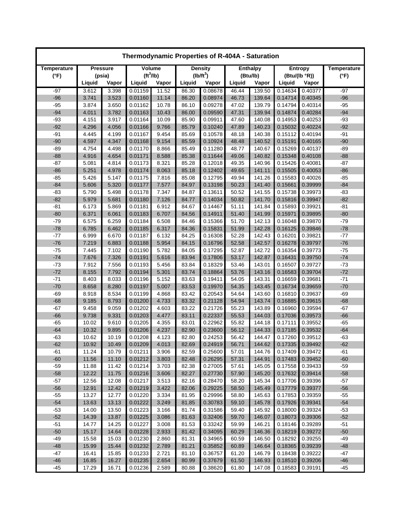| Thermodynamic Properties of R-404A - Saturation |                 |        |                       |       |        |                |                 |          |               |                |                    |  |
|-------------------------------------------------|-----------------|--------|-----------------------|-------|--------|----------------|-----------------|----------|---------------|----------------|--------------------|--|
| Temperature                                     | <b>Pressure</b> |        | Volume                |       |        | <b>Density</b> | <b>Enthalpy</b> |          |               | <b>Entropy</b> | <b>Temperature</b> |  |
| $(^{\circ}F)$                                   |                 | (psia) | (tf <sup>3</sup> /lb) |       |        | $(lb/ft^3)$    |                 | (Btu/lb) | (Btu/(lb °R)) |                | $(^{\circ}F)$      |  |
|                                                 | Liquid          | Vapor  | Liquid                | Vapor | Liquid | Vapor          | Liquid          | Vapor    | Liquid        | Vapor          |                    |  |
| $-97$                                           | 3.612           | 3.398  | 0.01159               | 11.52 | 86.30  | 0.08678        | 46.44           | 139.50   | 0.14634       | 0.40377        | -97                |  |
| $-96$                                           | 3.741           | 3.523  | 0.01160               | 11.14 | 86.20  | 0.08974        | 46.73           | 139.64   | 0.14714       | 0.40345        | $-96$              |  |
| $-95$                                           | 3.874           | 3.650  | 0.01162               | 10.78 | 86.10  | 0.09278        | 47.02           | 139.79   | 0.14794       | 0.40314        | $-95$              |  |
| $-94$                                           | 4.011           | 3.782  | 0.01163               | 10.43 | 86.00  | 0.09590        | 47.31           | 139.94   | 0.14874       | 0.40284        | $-94$              |  |
| $-93$                                           | 4.151           | 3.917  | 0.01164               | 10.09 | 85.90  | 0.09911        | 47.60           | 140.08   | 0.14953       | 0.40253        | $-93$              |  |
| $-92$                                           | 4.296           | 4.056  | 0.01166               | 9.766 | 85.79  | 0.10240        | 47.89           | 140.23   | 0.15032       | 0.40224        | $-92$              |  |
| $-91$                                           | 4.445           | 4.199  | 0.01167               | 9.454 | 85.69  | 0.10578        | 48.18           | 140.38   | 0.15112       | 0.40194        | $-91$              |  |
| $-90$                                           | 4.597           | 4.347  | 0.01168               | 9.154 | 85.59  | 0.10924        | 48.48           | 140.52   | 0.15191       | 0.40165        | $-90$              |  |
| $-89$                                           | 4.754           | 4.498  | 0.01170               | 8.866 | 85.49  | 0.11280        | 48.77           | 140.67   | 0.15269       | 0.40137        | -89                |  |
| $-88$                                           | 4.916           | 4.654  | 0.01171               | 8.588 | 85.38  | 0.11644        | 49.06           | 140.82   | 0.15348       | 0.40108        | $-88$              |  |
| $-87$                                           | 5.081           | 4.814  | 0.01173               | 8.321 | 85.28  | 0.12018        | 49.35           | 140.96   | 0.15426       | 0.40081        | $-87$              |  |
| $-86$                                           | 5.251           | 4.978  | 0.01174               | 8.063 | 85.18  | 0.12402        | 49.65           | 141.11   | 0.15505       | 0.40053        | $-86$              |  |
| $-85$                                           | 5.426           | 5.147  | 0.01175               | 7.816 | 85.08  | 0.12795        | 49.94           | 141.26   | 0.15583       | 0.40026        | -85                |  |
| $-84$                                           | 5.606           | 5.320  | 0.01177               | 7.577 | 84.97  | 0.13198        | 50.23           | 141.40   | 0.15661       | 0.39999        | $-84$              |  |
| $-83$                                           | 5.790           | 5.498  | 0.01178               | 7.347 | 84.87  | 0.13611        | 50.52           | 141.55   | 0.15738       | 0.39973        | $-83$              |  |
| $-82$                                           | 5.979           | 5.681  | 0.01180               | 7.126 | 84.77  | 0.14034        | 50.82           | 141.70   | 0.15816       | 0.39947        | $-82$              |  |
| $-81$                                           | 6.173           | 5.869  | 0.01181               | 6.912 | 84.67  | 0.14467        | 51.11           | 141.84   | 0.15893       | 0.39921        | $-81$              |  |
| $-80$                                           | 6.371           | 6.061  | 0.01183               | 6.707 | 84.56  | 0.14911        | 51.40           | 141.99   | 0.15971       | 0.39895        | $-80$              |  |
| $-79$                                           | 6.575           | 6.259  | 0.01184               | 6.508 | 84.46  | 0.15366        | 51.70           | 142.13   | 0.16048       | 0.39870        | $-79$              |  |
| $-78$                                           | 6.785           | 6.462  | 0.01185               | 6.317 | 84.36  | 0.15831        | 51.99           | 142.28   | 0.16125       | 0.39846        | $-78$              |  |
| $-77$                                           | 6.999           | 6.670  | 0.01187               | 6.132 | 84.25  | 0.16308        | 52.28           | 142.43   | 0.16201       | 0.39821        | $-77$              |  |
| $-76$                                           | 7.219           | 6.883  | 0.01188               | 5.954 | 84.15  | 0.16796        | 52.58           | 142.57   | 0.16278       | 0.39797        | $-76$              |  |
| $-75$                                           | 7.445           | 7.102  | 0.01190               | 5.782 | 84.05  | 0.17295        | 52.87           | 142.72   | 0.16354       | 0.39773        | $-75$              |  |
| $-74$                                           | 7.676           | 7.326  | 0.01191               | 5.616 | 83.94  | 0.17806        | 53.17           | 142.87   | 0.16431       | 0.39750        | $-74$              |  |
| $-73$                                           | 7.912           | 7.556  | 0.01193               | 5.456 | 83.84  | 0.18329        | 53.46           | 143.01   | 0.16507       | 0.39727        | $-73$              |  |
| $-72$                                           | 8.155           | 7.792  | 0.01194               | 5.301 | 83.74  | 0.18864        | 53.76           | 143.16   | 0.16583       | 0.39704        | $-72$              |  |
| $-71$                                           | 8.403           | 8.033  | 0.01196               | 5.152 | 83.63  | 0.19411        | 54.05           | 143.31   | 0.16659       | 0.39681        | $-71$              |  |
| $-70$                                           | 8.658           | 8.280  | 0.01197               | 5.007 | 83.53  | 0.19970        | 54.35           | 143.45   | 0.16734       | 0.39659        | $-70$              |  |
| $-69$                                           | 8.918           | 8.534  | 0.01199               | 4.868 | 83.42  | 0.20543        | 54.64           | 143.60   | 0.16810       | 0.39637        | $-69$              |  |
| $-68$                                           | 9.185           | 8.793  | 0.01200               | 4.733 | 83.32  | 0.21128        | 54.94           | 143.74   | 0.16885       | 0.39615        | $-68$              |  |
| $-67$                                           | 9.458           | 9.059  | 0.01202               | 4.603 | 83.22  | 0.21726        | 55.23           | 143.89   | 0.16960       | 0.39594        | $-67$              |  |
| $-66$                                           | 9.738           | 9.331  | 0.01203               | 4.477 | 83.11  | 0.22337        | 55.53           | 144.03   | 0.17036       | 0.39573        | $-66$              |  |
| $-65$                                           | 10.02           | 9.610  | 0.01205               | 4.355 | 83.01  | 0.22962        | 55.82           | 144.18   | 0.17111       | 0.39552        | $-65$              |  |
| $-64$                                           | 10.32           | 9.895  | 0.01206               | 4.237 | 82.90  | 0.23600        | 56.12           | 144.33   | 0.17185       | 0.39532        | $-64$              |  |
| $-63$                                           | 10.62           | 10.19  | 0.01208               | 4.123 | 82.80  | 0.24253        | 56.42           | 144.47   | 0.17260       | 0.39512        | $-63$              |  |
| $-62$                                           | 10.92           | 10.49  | 0.01209               | 4.013 | 82.69  | 0.24919        | 56.71           | 144.62   | 0.17335       | 0.39492        | $-62$              |  |
| -61                                             | 11.24           | 10.79  | 0.01211               | 3.906 | 82.59  | 0.25600        | 57.01           | 144.76   | 0.17409       | 0.39472        | -61                |  |
| $-60$                                           | 11.56           | 11.10  | 0.01212               | 3.803 | 82.48  | 0.26295        | 57.31           | 144.91   | 0.17483       | 0.39452        | $-60$              |  |
| $-59$                                           | 11.88           | 11.42  | 0.01214               | 3.703 | 82.38  | 0.27005        | 57.61           | 145.05   | 0.17558       | 0.39433        | $-59$              |  |
| $-58$                                           | 12.22           | 11.75  | 0.01216               | 3.606 | 82.27  | 0.27730        | 57.90           | 145.20   | 0.17632       | 0.39414        | $-58$              |  |
| $-57$                                           | 12.56           | 12.08  | 0.01217               | 3.513 | 82.16  | 0.28470        | 58.20           | 145.34   | 0.17706       | 0.39396        | $-57$              |  |
| $-56$                                           | 12.91           | 12.42  | 0.01219               | 3.422 | 82.06  | 0.29225        | 58.50           | 145.49   | 0.17779       | 0.39377        | $-56$              |  |
| $-55$                                           | 13.27           | 12.77  | 0.01220               | 3.334 | 81.95  | 0.29996        | 58.80           | 145.63   | 0.17853       | 0.39359        | $-55$              |  |
| $-54$                                           | 13.63           | 13.13  | 0.01222               | 3.249 | 81.85  | 0.30783        | 59.10           | 145.78   | 0.17926       | 0.39341        | $-54$              |  |
| $-53$                                           | 14.00           | 13.50  | 0.01223               | 3.166 | 81.74  | 0.31586        | 59.40           | 145.92   | 0.18000       | 0.39324        | -53                |  |
| $-52$                                           | 14.39           | 13.87  | 0.01225               | 3.086 | 81.63  | 0.32406        | 59.70           | 146.07   | 0.18073       | 0.39306        | $-52$              |  |
| $-51$                                           | 14.77           | 14.25  | 0.01227               | 3.008 | 81.53  | 0.33242        | 59.99           | 146.21   | 0.18146       | 0.39289        | $-51$              |  |
| $-50$                                           | 15.17           | 14.64  | 0.01228               | 2.933 | 81.42  | 0.34095        | 60.29           | 146.36   | 0.18219       | 0.39272        | $-50$              |  |
| $-49$                                           | 15.58           | 15.03  | 0.01230               | 2.860 | 81.31  | 0.34965        | 60.59           | 146.50   | 0.18292       | 0.39255        | -49                |  |
| $-48$                                           | 15.99           | 15.44  | 0.01232               | 2.789 | 81.21  | 0.35852        | 60.89           | 146.64   | 0.18365       | 0.39239        | $-48$              |  |
| $-47$                                           | 16.41           | 15.85  | 0.01233               | 2.721 | 81.10  | 0.36757        | 61.20           | 146.79   | 0.18438       | 0.39222        | -47                |  |
| $-46$                                           | 16.85           | 16.27  | 0.01235               | 2.654 | 80.99  | 0.37679        | 61.50           | 146.93   | 0.18510       | 0.39206        | $-46$              |  |
| $-45$                                           | 17.29           | 16.71  | 0.01236               | 2.589 | 80.88  | 0.38620        | 61.80           | 147.08   | 0.18583       | 0.39191        | $-45$              |  |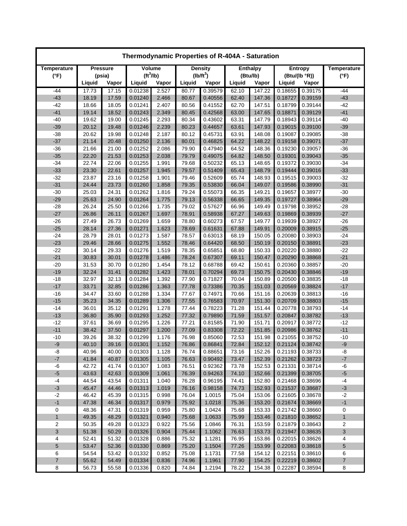| Thermodynamic Properties of R-404A - Saturation |                |                |                       |                |                |                    |                 |                  |                    |                    |                    |  |
|-------------------------------------------------|----------------|----------------|-----------------------|----------------|----------------|--------------------|-----------------|------------------|--------------------|--------------------|--------------------|--|
| Temperature                                     | Pressure       |                | Volume                |                |                | <b>Density</b>     | <b>Enthalpy</b> |                  |                    | <b>Entropy</b>     | <b>Temperature</b> |  |
| $(^{\circ}F)$                                   |                | (psia)         | (tf <sup>3</sup> /lb) |                | $(lb/ft^3)$    |                    | (Btu/lb)        |                  | (Btu/(lb °R))      |                    | $(^{\circ}F)$      |  |
|                                                 | Liquid         | Vapor          | Liquid                | Vapor          | Liquid         | Vapor              | Liquid          | Vapor            | Liquid             | Vapor              |                    |  |
| $-44$                                           | 17.73          | 17.15          | 0.01238               | 2.527          | 80.77          | 0.39579            | 62.10           | 147.22           | 0.18655            | 0.39175            | -44                |  |
| $-43$                                           | 18.19          | 17.59          | 0.01240               | 2.466          | 80.67          | 0.40556            | 62.40           | 147.36           | 0.18727            | 0.39159            | $-43$              |  |
| $-42$                                           | 18.66          | 18.05          | 0.01241               | 2.407          | 80.56          | 0.41552            | 62.70           | 147.51           | 0.18799            | 0.39144            | $-42$              |  |
| $-41$                                           | 19.14          | 18.52          | 0.01243               | 2.349          | 80.45          | 0.42568            | 63.00           | 147.65           | 0.18871            | 0.39129            | $-41$              |  |
| $-40$                                           | 19.62          | 19.00          | 0.01245               | 2.293          | 80.34          | 0.43602            | 63.31           | 147.79           | 0.18943            | 0.39114            | $-40$              |  |
| $-39$                                           | 20.12          | 19.48          | 0.01246               | 2.239          | 80.23          | 0.44657            | 63.61           | 147.93           | 0.19015            | 0.39100            | $-39$              |  |
| $-38$                                           | 20.62          | 19.98          | 0.01248               | 2.187          | 80.12          | 0.45731            | 63.91           | 148.08           | 0.19087            | 0.39085            | $-38$              |  |
| $-37$                                           | 21.14          | 20.48          | 0.01250               | 2.136          | 80.01          | 0.46825<br>0.47940 | 64.22           | 148.22           | 0.19158            | 0.39071            | $-37$              |  |
| $-36$<br>$-35$                                  | 21.66<br>22.20 | 21.00<br>21.53 | 0.01252<br>0.01253    | 2.086<br>2.038 | 79.90<br>79.79 | 0.49075            | 64.52<br>64.82  | 148.36<br>148.50 | 0.19230<br>0.19301 | 0.39057<br>0.39043 | $-36$<br>$-35$     |  |
| $-34$                                           | 22.74          | 22.06          | 0.01255               | 1.991          | 79.68          | 0.50232            | 65.13           | 148.65           | 0.19372            | 0.39030            | $-34$              |  |
| $-33$                                           | 23.30          | 22.61          | 0.01257               | 1.945          | 79.57          | 0.51409            | 65.43           | 148.79           | 0.19444            | 0.39016            | $-33$              |  |
| $-32$                                           | 23.87          | 23.16          | 0.01258               | 1.901          | 79.46          | 0.52609            | 65.74           | 148.93           | 0.19515            | 0.39003            | $-32$              |  |
| $-31$                                           | 24.44          | 23.73          | 0.01260               | 1.858          | 79.35          | 0.53830            | 66.04           | 149.07           | 0.19586            | 0.38990            | $-31$              |  |
| $-30$                                           | 25.03          | 24.31          | 0.01262               | 1.816          | 79.24          | 0.55073            | 66.35           | 149.21           | 0.19657            | 0.38977            | $-30$              |  |
| $-29$                                           | 25.63          | 24.90          | 0.01264               | 1.775          | 79.13          | 0.56338            | 66.65           | 149.35           | 0.19727            | 0.38964            | $-29$              |  |
| $-28$                                           | 26.24          | 25.50          | 0.01266               | 1.735          | 79.02          | 0.57627            | 66.96           | 149.49           | 0.19798            | 0.38952            | $-28$              |  |
| $-27$                                           | 26.86          | 26.11          | 0.01267               | 1.697          | 78.91          | 0.58938            | 67.27           | 149.63           | 0.19869            | 0.38939            | $-27$              |  |
| $-26$                                           | 27.49          | 26.73          | 0.01269               | 1.659          | 78.80          | 0.60273            | 67.57           | 149.77           | 0.19939            | 0.38927            | $-26$              |  |
| $-25$                                           | 28.14          | 27.36          | 0.01271               | 1.623          | 78.69          | 0.61631            | 67.88           | 149.91           | 0.20009            | 0.38915            | $-25$              |  |
| $-24$                                           | 28.79          | 28.01          | 0.01273               | 1.587          | 78.57          | 0.63013            | 68.19           | 150.05           | 0.20080            | 0.38903            | $-24$              |  |
| $-23$                                           | 29.46          | 28.66          | 0.01275               | 1.552          | 78.46          | 0.64420            | 68.50           | 150.19           | 0.20150            | 0.38891            | $-23$              |  |
| $-22$                                           | 30.14          | 29.33          | 0.01276               | 1.519          | 78.35          | 0.65851            | 68.80           | 150.33           | 0.20220            | 0.38880            | $-22$              |  |
| $-21$                                           | 30.83          | 30.01          | 0.01278               | 1.486          | 78.24          | 0.67307            | 69.11           | 150.47           | 0.20290            | 0.38868            | $-21$              |  |
| $-20$                                           | 31.53          | 30.70          | 0.01280               | 1.454          | 78.12          | 0.68788            | 69.42           | 150.61           | 0.20360            | 0.38857            | $-20$              |  |
| $-19$                                           | 32.24          | 31.41          | 0.01282               | 1.423          | 78.01          | 0.70294            | 69.73           | 150.75           | 0.20430            | 0.38846            | $-19$              |  |
| $-18$                                           | 32.97          | 32.13          | 0.01284               | 1.392          | 77.90          | 0.71827            | 70.04           | 150.89           | 0.20500            | 0.38835            | $-18$              |  |
| $-17$                                           | 33.71          | 32.85          | 0.01286               | 1.363          | 77.78          | 0.73386            | 70.35           | 151.03           | 0.20569            | 0.38824            | $-17$              |  |
| $-16$                                           | 34.47          | 33.60          | 0.01288               | 1.334          | 77.67          | 0.74971            | 70.66           | 151.16           | 0.20639            | 0.38813            | $-16$              |  |
| $-15$                                           | 35.23          | 34.35          | 0.01289               | 1.306          | 77.55          | 0.76583            | 70.97           | 151.30           | 0.20709            | 0.38803            | $-15$              |  |
| $-14$                                           | 36.01          | 35.12          | 0.01291               | 1.278          | 77.44          | 0.78223            | 71.28           | 151.44           | 0.20778            | 0.38793            | $-14$              |  |
| $-13$                                           | 36.80          | 35.90          | 0.01293               | 1.252          | 77.32          | 0.79890            | 71.59           | 151.57           | 0.20847            | 0.38782            | $-13$              |  |
| $-12$                                           | 37.61          | 36.69          | 0.01295               | 1.226          | 77.21          | 0.81585            | 71.90           | 151.71           | 0.20917            | 0.38772            | $-12$              |  |
| $-11$                                           | 38.42          | 37.50          | 0.01297               | 1.200          | 77.09          | 0.83308            | 72.22           | 151.85           | 0.20986            | 0.38762            | $-11$              |  |
| $-10$                                           | 39.26          | 38.32          | 0.01299               | 1.176          | 76.98          | 0.85060            | 72.53           | 151.98           | 0.21055            | 0.38752            | $-10$              |  |
| $-9$                                            | 40.10          | 39.16          | 0.01301               | 1.152          | 76.86          | 0.86841            | 72.84           | 152.12           | 0.21124            | 0.38742            | -9                 |  |
| -8                                              | 40.96          | 40.00          | 0.01303               | 1.128          | 76.74          | 0.88651            | 73.16           | 152.26           | 0.21193            | 0.38733            | -8                 |  |
| $-7$                                            | 41.84          | 40.87          | 0.01305               | 1.105          | 76.63          | 0.90492            | 73.47           | 152.39           | 0.21262            | 0.38723            | $-7$               |  |
| -6                                              | 42.72          | 41.74          | 0.01307               | 1.083          | 76.51          | 0.92362            | 73.78           | 152.53           | 0.21331            | 0.38714            | -6                 |  |
| $-5$                                            | 43.63          | 42.63          | 0.01309               | 1.061          | 76.39          | 0.94263            | 74.10           | 152.66           | 0.21399            | 0.38705            | $-5$               |  |
| $-4$                                            | 44.54          | 43.54          | 0.01311               | 1.040          | 76.28          | 0.96195            | 74.41           | 152.80           | 0.21468            | 0.38696            | $-4$               |  |
| $-3$                                            | 45.47          | 44.46          | 0.01313               | 1.019          | 76.16          | 0.98158            | 74.73           | 152.93           | 0.21537            | 0.38687            | $-3$               |  |
| $-2$                                            | 46.42          | 45.39          | 0.01315               | 0.998          | 76.04          | 1.0015             | 75.04           | 153.06           | 0.21605            | 0.38678            | $-2$               |  |
| $-1$                                            | 47.38          | 46.34          | 0.01317               | 0.979          | 75.92          | 1.0218             | 75.36           | 153.20           | 0.21674            | 0.38669            | $-1$               |  |
| 0                                               | 48.36          | 47.31          | 0.01319               | 0.959          | 75.80          | 1.0424             | 75.68           | 153.33           | 0.21742            | 0.38660            | 0                  |  |
| $\mathbf{1}$                                    | 49.35          | 48.29          | 0.01321               | 0.940          | 75.68          | 1.0633             | 75.99           | 153.46           | 0.21810            | 0.38652            | $\mathbf{1}$       |  |
| 2                                               | 50.35          | 49.28          | 0.01323               | 0.922          | 75.56          | 1.0846             | 76.31           | 153.59           | 0.21879            | 0.38643            | 2                  |  |
| 3                                               | 51.38          | 50.29          | 0.01326               | 0.904          | 75.44          | 1.1062             | 76.63           | 153.73           | 0.21947            | 0.38635            | 3                  |  |
| 4                                               | 52.41          | 51.32          | 0.01328               | 0.886          | 75.32          | 1.1281             | 76.95           | 153.86           | 0.22015            | 0.38626            | 4                  |  |
| 5                                               | 53.47          | 52.36          | 0.01330               | 0.869          | 75.20          | 1.1504             | 77.26           | 153.99           | 0.22083            | 0.38618            | 5                  |  |
| 6                                               | 54.54          | 53.42          | 0.01332               | 0.852          | 75.08          | 1.1731             | 77.58           | 154.12           | 0.22151            | 0.38610            | 6                  |  |
| $\overline{\mathbf{7}}$                         | 55.62          | 54.49          | 0.01334               | 0.836          | 74.96          | 1.1961             | 77.90           | 154.25           | 0.22219            | 0.38602            | $\boldsymbol{7}$   |  |
| 8                                               | 56.73          | 55.58          | 0.01336               | 0.820          | 74.84          | 1.2194             | 78.22           | 154.38           | 0.22287            | 0.38594            | 8                  |  |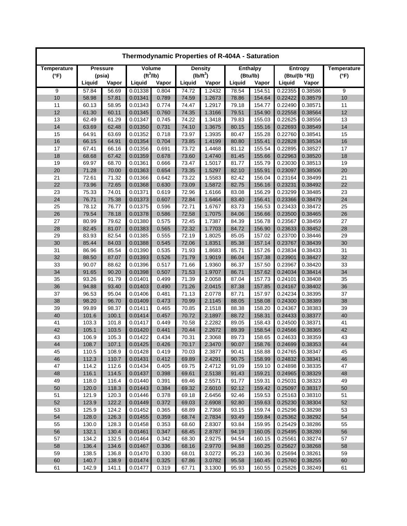| Thermodynamic Properties of R-404A - Saturation |                |                |                       |                |                |                  |                 |                  |                    |                    |                    |  |
|-------------------------------------------------|----------------|----------------|-----------------------|----------------|----------------|------------------|-----------------|------------------|--------------------|--------------------|--------------------|--|
| Temperature                                     | Pressure       |                | Volume                |                | <b>Density</b> |                  | <b>Enthalpy</b> |                  |                    | <b>Entropy</b>     | <b>Temperature</b> |  |
| $(^{\circ}F)$                                   |                | (psia)         | (tf <sup>3</sup> /lb) |                |                | $(lb/ft^3)$      | (Btu/lb)        |                  | (Btu/(lb °R))      |                    | $(^{\circ}F)$      |  |
|                                                 | Liquid         | Vapor          | Liquid                | Vapor          | Liquid         | Vapor            | Liquid          | Vapor            | Liquid             | Vapor              |                    |  |
| 9<br>10                                         | 57.84<br>58.98 | 56.69<br>57.81 | 0.01338<br>0.01341    | 0.804<br>0.789 | 74.72<br>74.59 | 1.2432<br>1.2673 | 78.54<br>78.86  | 154.51<br>154.64 | 0.22355<br>0.22422 | 0.38586<br>0.38579 | 9<br>10            |  |
| 11                                              | 60.13          | 58.95          | 0.01343               | 0.774          | 74.47          | 1.2917           | 79.18           | 154.77           | 0.22490            | 0.38571            | 11                 |  |
| 12                                              | 61.30          | 60.11          | 0.01345               | 0.760          | 74.35          | 1.3166           | 79.51           | 154.90           | 0.22558            | 0.38564            | 12                 |  |
| 13                                              | 62.49          | 61.29          | 0.01347               | 0.745          | 74.22          | 1.3418           | 79.83           | 155.03           | 0.22625            | 0.38556            | 13                 |  |
| 14                                              | 63.69          | 62.48          | 0.01350               | 0.731          | 74.10          | 1.3675           | 80.15           | 155.16           | 0.22693            | 0.38549            | 14                 |  |
| 15                                              | 64.91          | 63.69          | 0.01352               | 0.718          | 73.97          | 1.3935           | 80.47           | 155.28           | 0.22760            | 0.38541            | 15                 |  |
| 16                                              | 66.15          | 64.91          | 0.01354               | 0.704          | 73.85          | 1.4199           | 80.80           | 155.41           | 0.22828            | 0.38534            | 16                 |  |
| 17                                              | 67.41          | 66.16          | 0.01356               | 0.691          | 73.72          | 1.4468           | 81.12           | 155.54           | 0.22895            | 0.38527            | 17                 |  |
| 18                                              | 68.68          | 67.42          | 0.01359               | 0.678          | 73.60          | 1.4740           | 81.45           | 155.66           | 0.22963            | 0.38520            | 18                 |  |
| 19                                              | 69.97          | 68.70          | 0.01361               | 0.666          | 73.47          | 1.5017           | 81.77           | 155.79           | 0.23030            | 0.38513            | 19                 |  |
| 20                                              | 71.28          | 70.00          | 0.01363               | 0.654          | 73.35          | 1.5297           | 82.10           | 155.91           | 0.23097            | 0.38506            | 20                 |  |
| 21                                              | 72.61          | 71.32          | 0.01366               | 0.642          | 73.22          | 1.5583           | 82.42           | 156.04           | 0.23164            | 0.38499            | 21                 |  |
| 22                                              | 73.96          | 72.65          | 0.01368               | 0.630          | 73.09          | 1.5872           | 82.75           | 156.16           | 0.23231            | 0.38492            | 22                 |  |
| 23                                              | 75.33          | 74.01          | 0.01371               | 0.619          | 72.96          | 1.6166           | 83.08           | 156.29           | 0.23299            | 0.38485            | 23                 |  |
| 24                                              | 76.71          | 75.38          | 0.01373               | 0.607          | 72.84          | 1.6464           | 83.40           | 156.41           | 0.23366            | 0.38479            | 24                 |  |
| 25                                              | 78.12          | 76.77          | 0.01375               | 0.596          | 72.71          | 1.6767           | 83.73           | 156.53           | 0.23433            | 0.38472            | 25                 |  |
| 26                                              | 79.54          | 78.18          | 0.01378               | 0.586          | 72.58          | 1.7075           | 84.06           | 156.66           | 0.23500            | 0.38465            | 26                 |  |
| 27                                              | 80.99<br>82.45 | 79.62          | 0.01380               | 0.575          | 72.45          | 1.7387           | 84.39           | 156.78           | 0.23567            | 0.38459            | 27                 |  |
| 28<br>29                                        | 83.93          | 81.07<br>82.54 | 0.01383<br>0.01385    | 0.565<br>0.555 | 72.32<br>72.19 | 1.7703<br>1.8025 | 84.72<br>85.05  | 156.90<br>157.02 | 0.23633<br>0.23700 | 0.38452<br>0.38446 | 28<br>29           |  |
| 30                                              | 85.44          | 84.03          | 0.01388               | 0.545          | 72.06          | 1.8351           | 85.38           | 157.14           | 0.23767            | 0.38439            | 30                 |  |
| 31                                              | 86.96          | 85.54          | 0.01390               | 0.535          | 71.93          | 1.8683           | 85.71           | 157.26           | 0.23834            | 0.38433            | 31                 |  |
| 32                                              | 88.50          | 87.07          | 0.01393               | 0.526          | 71.79          | 1.9019           | 86.04           | 157.38           | 0.23901            | 0.38427            | 32                 |  |
| 33                                              | 90.07          | 88.62          | 0.01396               | 0.517          | 71.66          | 1.9360           | 86.37           | 157.50           | 0.23967            | 0.38420            | 33                 |  |
| 34                                              | 91.65          | 90.20          | 0.01398               | 0.507          | 71.53          | 1.9707           | 86.71           | 157.62           | 0.24034            | 0.38414            | 34                 |  |
| 35                                              | 93.26          | 91.79          | 0.01401               | 0.499          | 71.39          | 2.0058           | 87.04           | 157.73           | 0.24101            | 0.38408            | 35                 |  |
| 36                                              | 94.88          | 93.40          | 0.01403               | 0.490          | 71.26          | 2.0415           | 87.38           | 157.85           | 0.24167            | 0.38402            | 36                 |  |
| 37                                              | 96.53          | 95.04          | 0.01406               | 0.481          | 71.13          | 2.0778           | 87.71           | 157.97           | 0.24234            | 0.38395            | 37                 |  |
| 38                                              | 98.20          | 96.70          | 0.01409               | 0.473          | 70.99          | 2.1145           | 88.05           | 158.08           | 0.24300            | 0.38389            | 38                 |  |
| 39                                              | 99.89          | 98.37          | 0.01411               | 0.465          | 70.85          | 2.1518           | 88.38           | 158.20           | 0.24367            | 0.38383            | 39                 |  |
| 40                                              | 101.6          | 100.1          | 0.01414               | 0.457          | 70.72          | 2.1897           | 88.72           | 158.31           | 0.24433            | 0.38377            | 40                 |  |
| 41                                              | 103.3          | 101.8          | 0.01417               | 0.449          | 70.58          | 2.2282           | 89.05           | 158.43           | 0.24500            | 0.38371            | 41                 |  |
| 42                                              | 105.1          | 103.5          | 0.01420               | 0.441          | 70.44          | 2.2672           | 89.39           | 158.54           | 0.24566            | 0.38365            | 42                 |  |
| 43                                              | 106.9          | 105.3          | 0.01422               | 0.434          | 70.31          | 2.3068           | 89.73           | 158.65           | 0.24633            | 0.38359            | 43                 |  |
| 44                                              | 108.7          | 107.1          | 0.01425               | 0.426          | 70.17          | 2.3470           | 90.07           | 158.76           | 0.24699            | 0.38353            | 44                 |  |
| 45                                              | 110.5          | 108.9          | 0.01428               | 0.419          | 70.03          | 2.3877           | 90.41           | 158.88           | 0.24765            | 0.38347            | 45                 |  |
| 46                                              | 112.3          | 110.7          | 0.01431               | 0.412          | 69.89          | 2.4291           | 90.75           | 158.99           | 0.24832            | 0.38341            | 46                 |  |
| 47                                              | 114.2          | 112.6          | 0.01434<br>0.01437    | 0.405          | 69.75          | 2.4712           | 91.09           | 159.10           | 0.24898<br>0.24965 | 0.38335            | 47                 |  |
| 48<br>49                                        | 116.1<br>118.0 | 114.5<br>116.4 | 0.01440               | 0.398<br>0.391 | 69.61<br>69.46 | 2.5138<br>2.5571 | 91.43<br>91.77  | 159.21<br>159.31 | 0.25031            | 0.38329<br>0.38323 | 48<br>49           |  |
| 50                                              | 120.0          | 118.3          | 0.01443               | 0.384          | 69.32          | 2.6010           | 92.12           | 159.42           | 0.25097            | 0.38317            | 50                 |  |
| 51                                              | 121.9          | 120.3          | 0.01446               | 0.378          | 69.18          | 2.6456           | 92.46           | 159.53           | 0.25163            | 0.38310            | 51                 |  |
| 52                                              | 123.9          | 122.2          | 0.01449               | 0.372          | 69.03          | 2.6908           | 92.80           | 159.63           | 0.25230            | 0.38304            | 52                 |  |
| 53                                              | 125.9          | 124.2          | 0.01452               | 0.365          | 68.89          | 2.7368           | 93.15           | 159.74           | 0.25296            | 0.38298            | 53                 |  |
| 54                                              | 128.0          | 126.3          | 0.01455               | 0.359          | 68.74          | 2.7834           | 93.49           | 159.84           | 0.25362            | 0.38292            | 54                 |  |
| 55                                              | 130.0          | 128.3          | 0.01458               | 0.353          | 68.60          | 2.8307           | 93.84           | 159.95           | 0.25429            | 0.38286            | 55                 |  |
| 56                                              | 132.1          | 130.4          | 0.01461               | 0.347          | 68.45          | 2.8787           | 94.19           | 160.05           | 0.25495            | 0.38280            | 56                 |  |
| 57                                              | 134.2          | 132.5          | 0.01464               | 0.342          | 68.30          | 2.9275           | 94.54           | 160.15           | 0.25561            | 0.38274            | 57                 |  |
| 58                                              | 136.4          | 134.6          | 0.01467               | 0.336          | 68.16          | 2.9770           | 94.88           | 160.25           | 0.25627            | 0.38268            | 58                 |  |
| 59                                              | 138.5          | 136.8          | 0.01470               | 0.330          | 68.01          | 3.0272           | 95.23           | 160.36           | 0.25694            | 0.38261            | 59                 |  |
| 60                                              | 140.7          | 138.9          | 0.01474               | 0.325          | 67.86          | 3.0782           | 95.58           | 160.45           | 0.25760            | 0.38255            | 60                 |  |
| 61                                              | 142.9          | 141.1          | 0.01477               | 0.319          | 67.71          | 3.1300           | 95.93           | 160.55           | 0.25826            | 0.38249            | 61                 |  |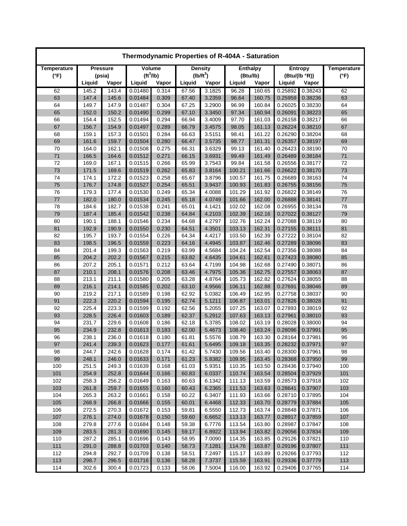| Thermodynamic Properties of R-404A - Saturation |        |                 |                       |       |        |                |        |                 |         |                |                    |  |
|-------------------------------------------------|--------|-----------------|-----------------------|-------|--------|----------------|--------|-----------------|---------|----------------|--------------------|--|
| Temperature                                     |        | <b>Pressure</b> | Volume                |       |        | <b>Density</b> |        | <b>Enthalpy</b> |         | <b>Entropy</b> | <b>Temperature</b> |  |
| $(^{\circ}F)$                                   |        | (psia)          | (tf <sup>3</sup> /lb) |       |        | $(lb/ft^3)$    |        | (Btu/lb)        |         | (Btu/(lb °R))  | $(^{\circ}F)$      |  |
|                                                 | Liquid | Vapor           | Liquid                | Vapor | Liquid | Vapor          | Liquid | Vapor           | Liquid  | Vapor          |                    |  |
| 62                                              | 145.2  | 143.4           | 0.01480               | 0.314 | 67.56  | 3.1825         | 96.28  | 160.65          | 0.25892 | 0.38243        | 62                 |  |
| 63                                              | 147.4  | 145.6           | 0.01484               | 0.309 | 67.40  | 3.2359         | 96.64  | 160.75          | 0.25959 | 0.38236        | 63                 |  |
| 64                                              | 149.7  | 147.9           | 0.01487               | 0.304 | 67.25  | 3.2900         | 96.99  | 160.84          | 0.26025 | 0.38230        | 64                 |  |
| 65                                              | 152.0  | 150.2           | 0.01490               | 0.299 | 67.10  | 3.3450         | 97.34  | 160.94          | 0.26091 | 0.38223        | 65                 |  |
| 66                                              | 154.4  | 152.5           | 0.01494               | 0.294 | 66.94  | 3.4009         | 97.70  | 161.03          | 0.26158 | 0.38217        | 66                 |  |
| 67                                              | 156.7  | 154.9           | 0.01497               | 0.289 | 66.79  | 3.4575         | 98.05  | 161.13          | 0.26224 | 0.38210        | 67                 |  |
| 68                                              | 159.1  | 157.3           | 0.01501               | 0.284 | 66.63  | 3.5151         | 98.41  | 161.22          | 0.26290 | 0.38204        | 68                 |  |
| 69                                              | 161.6  | 159.7           | 0.01504               | 0.280 | 66.47  | 3.5735         | 98.77  | 161.31          | 0.26357 | 0.38197        | 69                 |  |
| 70                                              | 164.0  | 162.1           | 0.01508               | 0.275 | 66.31  | 3.6329         | 99.13  | 161.40          | 0.26423 | 0.38190        | 70                 |  |
| 71                                              | 166.5  | 164.6           | 0.01512               | 0.271 | 66.15  | 3.6931         | 99.49  | 161.49          | 0.26489 | 0.38184        | 71                 |  |
| 72                                              | 169.0  | 167.1           | 0.01515               | 0.266 | 65.99  | 3.7543         | 99.84  | 161.58          | 0.26556 | 0.38177        | 72                 |  |
| 73                                              | 171.5  | 169.6           | 0.01519               | 0.262 | 65.83  | 3.8164         | 100.21 | 161.66          | 0.26622 | 0.38170        | 73                 |  |
| 74                                              | 174.1  | 172.2           | 0.01523               | 0.258 | 65.67  | 3.8796         | 100.57 | 161.75          | 0.26689 | 0.38163        | 74                 |  |
| 75                                              | 176.7  | 174.8           | 0.01527               | 0.254 | 65.51  | 3.9437         | 100.93 | 161.83          | 0.26755 | 0.38156        | 75                 |  |
| 76                                              | 179.3  | 177.4           | 0.01530               | 0.249 | 65.34  | 4.0088         | 101.29 | 161.92          | 0.26822 | 0.38149        | 76                 |  |
| 77                                              | 182.0  | 180.0           | 0.01534               | 0.245 | 65.18  | 4.0749         | 101.66 | 162.00          | 0.26888 | 0.38141        | 77                 |  |
| 78                                              | 184.6  | 182.7           | 0.01538               | 0.241 | 65.01  | 4.1421         | 102.02 | 162.08          | 0.26955 | 0.38134        | 78                 |  |
| 79                                              | 187.4  | 185.4           | 0.01542               | 0.238 | 64.84  | 4.2103         | 102.39 | 162.16          | 0.27022 | 0.38127        | 79                 |  |
| 80                                              | 190.1  | 188.1           | 0.01546               | 0.234 | 64.68  | 4.2797         | 102.76 | 162.24          | 0.27088 | 0.38119        | 80                 |  |
| 81                                              | 192.9  | 190.9           | 0.01550               | 0.230 | 64.51  | 4.3501         | 103.13 | 162.31          | 0.27155 | 0.38111        | 81                 |  |
| 82                                              | 195.7  | 193.7           | 0.01554               | 0.226 | 64.34  | 4.4217         | 103.50 | 162.39          | 0.27222 | 0.38104        | 82                 |  |
| 83                                              | 198.5  | 196.5           | 0.01559               | 0.223 | 64.16  | 4.4945         | 103.87 | 162.46          | 0.27289 | 0.38096        | 83                 |  |
| 84                                              | 201.4  | 199.3           | 0.01563               | 0.219 | 63.99  | 4.5684         | 104.24 | 162.54          | 0.27356 | 0.38088        | 84                 |  |
| 85                                              | 204.2  | 202.2           | 0.01567               | 0.215 | 63.82  | 4.6435         | 104.61 | 162.61          | 0.27423 | 0.38080        | 85                 |  |
| 86                                              | 207.2  | 205.1           | 0.01571               | 0.212 | 63.64  | 4.7199         | 104.98 | 162.68          | 0.27490 | 0.38071        | 86                 |  |
| 87                                              | 210.1  | 208.1           | 0.01576               | 0.208 | 63.46  | 4.7975         | 105.36 | 162.75          | 0.27557 | 0.38063        | 87                 |  |
| 88                                              | 213.1  | 211.1           | 0.01580               | 0.205 | 63.28  | 4.8764         | 105.73 | 162.82          | 0.27624 | 0.38055        | 88                 |  |
| 89                                              | 216.1  | 214.1           | 0.01585               | 0.202 | 63.10  | 4.9566         | 106.11 | 162.88          | 0.27691 | 0.38046        | 89                 |  |
| 90                                              | 219.2  | 217.1           | 0.01589               | 0.198 | 62.92  | 5.0382         | 106.49 | 162.95          | 0.27758 | 0.38037        | 90                 |  |
| 91                                              | 222.3  | 220.2           | 0.01594               | 0.195 | 62.74  | 5.1211         | 106.87 | 163.01          | 0.27826 | 0.38028        | 91                 |  |
| 92                                              | 225.4  | 223.3           | 0.01599               | 0.192 | 62.56  | 5.2055         | 107.25 | 163.07          | 0.27893 | 0.38019        | 92                 |  |
| 93                                              | 228.5  | 226.4           | 0.01603               | 0.189 | 62.37  | 5.2912         | 107.63 | 163.13          | 0.27961 | 0.38010        | 93                 |  |
| 94                                              | 231.7  | 229.6           | 0.01608               | 0.186 | 62.18  | 5.3785         | 108.02 | 163.19          | 0.28028 | 0.38000        | 94                 |  |
| 95                                              | 234.9  | 232.8           | 0.01613               | 0.183 | 62.00  | 5.4673         | 108.40 | 163.24          | 0.28096 | 0.37991        | 95                 |  |
| 96                                              | 238.1  | 236.0           | 0.01618               | 0.180 | 61.81  | 5.5576         | 108.79 | 163.30          | 0.28164 | 0.37981        | 96                 |  |
| 97                                              | 241.4  | 239.3           | 0.01623               | 0.177 | 61.61  | 5.6495         | 109.18 | 163.35          | 0.28232 | 0.37971        | 97                 |  |
| 98                                              | 244.7  | 242.6           | 0.01628               | 0.174 | 61.42  | 5.7430         | 109.56 | 163.40          | 0.28300 | 0.37961        | 98                 |  |
| 99                                              | 248.1  | 246.0           | 0.01633               | 0.171 | 61.23  | 5.8382         | 109.95 | 163.45          | 0.28368 | 0.37950        | 99                 |  |
| 100                                             | 251.5  | 249.3           | 0.01639               | 0.168 | 61.03  | 5.9351         | 110.35 | 163.50          | 0.28436 | 0.37940        | 100                |  |
| 101                                             | 254.9  | 252.8           | 0.01644               | 0.166 | 60.83  | 6.0337         | 110.74 | 163.54          | 0.28504 | 0.37929        | 101                |  |
| 102                                             | 258.3  | 256.2           | 0.01649               | 0.163 | 60.63  | 6.1342         | 111.13 | 163.59          | 0.28573 | 0.37918        | 102                |  |
| 103                                             | 261.8  | 259.7           | 0.01655               | 0.160 | 60.43  | 6.2365         | 111.53 | 163.63          | 0.28641 | 0.37907        | 103                |  |
| 104                                             | 265.3  | 263.2           | 0.01661               | 0.158 | 60.22  | 6.3407         | 111.93 | 163.66          | 0.28710 | 0.37895        | 104                |  |
| 105                                             | 268.9  | 266.8           | 0.01666               | 0.155 | 60.01  | 6.4468         | 112.33 | 163.70          | 0.28779 | 0.37884        | 105                |  |
| 106                                             | 272.5  | 270.3           | 0.01672               | 0.153 | 59.81  | 6.5550         | 112.73 | 163.74          | 0.28848 | 0.37871        | 106                |  |
| 107                                             | 276.1  | 274.0           | 0.01678               | 0.150 | 59.60  | 6.6652         | 113.13 | 163.77          | 0.28917 | 0.37859        | 107                |  |
| 108                                             | 279.8  | 277.6           | 0.01684               | 0.148 | 59.38  | 6.7776         | 113.54 | 163.80          | 0.28987 | 0.37847        | 108                |  |
| 109                                             | 283.5  | 281.3           | 0.01690               | 0.145 | 59.17  | 6.8922         | 113.94 | 163.82          | 0.29056 | 0.37834        | 109                |  |
| 110                                             | 287.2  | 285.1           | 0.01696               | 0.143 | 58.95  | 7.0090         | 114.35 | 163.85          | 0.29126 | 0.37821        | 110                |  |
| 111                                             | 291.0  | 288.8           | 0.01703               | 0.140 | 58.73  | 7.1281         | 114.76 | 163.87          | 0.29196 | 0.37807        | 111                |  |
| 112                                             | 294.8  | 292.7           | 0.01709               | 0.138 | 58.51  | 7.2497         | 115.17 | 163.89          | 0.29266 | 0.37793        | 112                |  |
| 113                                             | 298.7  | 296.5           | 0.01716               | 0.136 | 58.28  | 7.3737         | 115.59 | 163.91          | 0.29336 | 0.37779        | 113                |  |
| 114                                             | 302.6  | 300.4           | 0.01723               | 0.133 | 58.06  | 7.5004         | 116.00 | 163.92          | 0.29406 | 0.37765        | 114                |  |